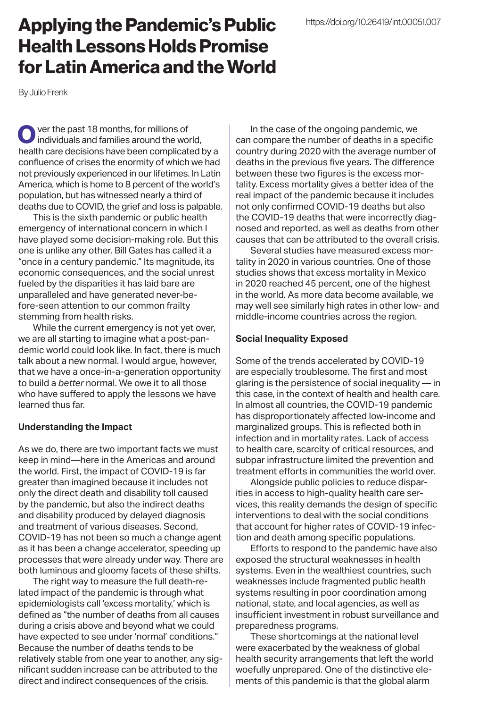## Applying the Pandemic's Public Health Lessons Holds Promise for Latin America and the World

By Julio Frenk

ver the past 18 months, for millions of individuals and families around the world, health care decisions have been complicated by a confluence of crises the enormity of which we had not previously experienced in our lifetimes. In Latin America, which is home to 8 percent of the world's population, but has witnessed nearly a third of deaths due to COVID, the grief and loss is palpable.

This is the sixth pandemic or public health emergency of international concern in which I have played some decision-making role. But this one is unlike any other. Bill Gates has called it a "once in a century pandemic." Its magnitude, its economic consequences, and the social unrest fueled by the disparities it has laid bare are unparalleled and have generated never-before-seen attention to our common frailty stemming from health risks.

While the current emergency is not yet over, we are all starting to imagine what a post-pandemic world could look like. In fact, there is much talk about a new normal. I would arque, however, that we have a once-in-a-generation opportunity to build a *better* normal. We owe it to all those who have suffered to apply the lessons we have learned thus far.

## **Understanding the Impact**

As we do, there are two important facts we must keep in mind—here in the Americas and around the world. First, the impact of COVID-19 is far greater than imagined because it includes not only the direct death and disability toll caused by the pandemic, but also the indirect deaths and disability produced by delayed diagnosis and treatment of various diseases. Second, COVID-19 has not been so much a change agent as it has been a change accelerator, speeding up processes that were already under way. There are both luminous and gloomy facets of these shifts.

The right way to measure the full death-related impact of the pandemic is through what epidemiologists call 'excess mortality,' which is defined as "the number of deaths from all causes during a crisis above and beyond what we could have expected to see under 'normal' conditions." Because the number of deaths tends to be relatively stable from one year to another, any significant sudden increase can be attributed to the direct and indirect consequences of the crisis.

In the case of the ongoing pandemic, we can compare the number of deaths in a specific country during 2020 with the average number of deaths in the previous five years. The difference between these two figures is the excess mortality. Excess mortality gives a better idea of the real impact of the pandemic because it includes not only confirmed COVID-19 deaths but also the COVID-19 deaths that were incorrectly diagnosed and reported, as well as deaths from other causes that can be attributed to the overall crisis.

Several studies have measured excess mortality in 2020 in various countries. One of those studies shows that excess mortality in Mexico in 2020 reached 45 percent, one of the highest in the world. As more data become available, we may well see similarly high rates in other low- and middle-income countries across the region.

## **Social Inequality Exposed**

Some of the trends accelerated by COVID-19 are especially troublesome. The first and most glaring is the persistence of social inequality — in this case, in the context of health and health care. In almost all countries, the COVID-19 pandemic has disproportionately affected low-income and marginalized groups. This is reflected both in infection and in mortality rates. Lack of access to health care, scarcity of critical resources, and subpar infrastructure limited the prevention and treatment efforts in communities the world over.

Alongside public policies to reduce disparities in access to high-quality health care services, this reality demands the design of specific interventions to deal with the social conditions that account for higher rates of COVID-19 infection and death among specific populations.

Efforts to respond to the pandemic have also exposed the structural weaknesses in health systems. Even in the wealthiest countries, such weaknesses include fragmented public health systems resulting in poor coordination among national, state, and local agencies, as well as insufficient investment in robust surveillance and preparedness programs.

These shortcomings at the national level were exacerbated by the weakness of global health security arrangements that left the world woefully unprepared. One of the distinctive elements of this pandemic is that the global alarm